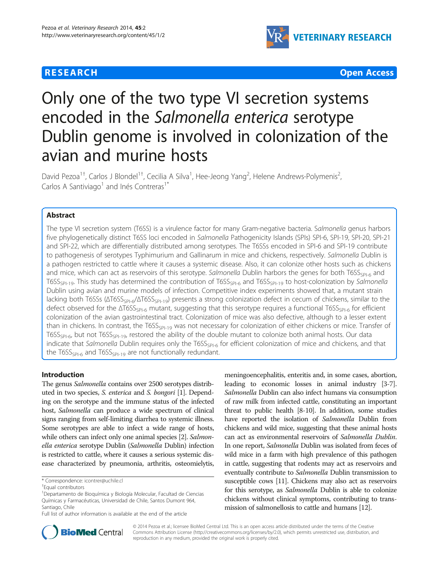## **RESEARCH CHE Open Access**



# Only one of the two type VI secretion systems encoded in the Salmonella enterica serotype Dublin genome is involved in colonization of the avian and murine hosts

David Pezoa<sup>1†</sup>, Carlos J Blondel<sup>1†</sup>, Cecilia A Silva<sup>1</sup>, Hee-Jeong Yang<sup>2</sup>, Helene Andrews-Polymenis<sup>2</sup> , Carlos A Santiviago<sup>1</sup> and Inés Contreras<sup>1\*</sup>

## Abstract

The type VI secretion system (T6SS) is a virulence factor for many Gram-negative bacteria. Salmonella genus harbors five phylogenetically distinct T6SS loci encoded in Salmonella Pathogenicity Islands (SPIs) SPI-6, SPI-19, SPI-20, SPI-21 and SPI-22, which are differentially distributed among serotypes. The T6SSs encoded in SPI-6 and SPI-19 contribute to pathogenesis of serotypes Typhimurium and Gallinarum in mice and chickens, respectively. Salmonella Dublin is a pathogen restricted to cattle where it causes a systemic disease. Also, it can colonize other hosts such as chickens and mice, which can act as reservoirs of this serotype. Salmonella Dublin harbors the genes for both T6SS<sub>SPL6</sub> and T6SS<sub>SPI-19</sub>. This study has determined the contribution of T6SS<sub>SPI-6</sub> and T6SS<sub>SPI-19</sub> to host-colonization by Salmonella Dublin using avian and murine models of infection. Competitive index experiments showed that, a mutant strain lacking both T6SSs (ΔT6SS<sub>SPL6</sub>/ΔT6SS<sub>SPL19</sub>) presents a strong colonization defect in cecum of chickens, similar to the defect observed for the ΔT6SS<sub>SPI-6</sub> mutant, suggesting that this serotype requires a functional T6SS<sub>SPI-6</sub> for efficient colonization of the avian gastrointestinal tract. Colonization of mice was also defective, although to a lesser extent than in chickens. In contrast, the T6SS<sub>SPI-19</sub> was not necessary for colonization of either chickens or mice. Transfer of T6SS<sub>SPI-6</sub>, but not T6SS<sub>SPI-19</sub>, restored the ability of the double mutant to colonize both animal hosts. Our data indicate that Salmonella Dublin requires only the T6SS<sub>SPI-6</sub> for efficient colonization of mice and chickens, and that the  $T6SS_{SPI-6}$  and  $T6SS_{SPI-19}$  are not functionally redundant.

## Introduction

The genus Salmonella contains over 2500 serotypes distributed in two species, S. enterica and S. bongori [[1](#page-8-0)]. Depending on the serotype and the immune status of the infected host, Salmonella can produce a wide spectrum of clinical signs ranging from self-limiting diarrhea to systemic illness. Some serotypes are able to infect a wide range of hosts, while others can infect only one animal species [\[2](#page-8-0)]. *Salmon*ella enterica serotype Dublin (Salmonella Dublin) infection is restricted to cattle, where it causes a serious systemic disease characterized by pneumonia, arthritis, osteomielytis,

meningoencephalitis, enteritis and, in some cases, abortion, leading to economic losses in animal industry [[3](#page-8-0)-[7](#page-8-0)]. Salmonella Dublin can also infect humans via consumption of raw milk from infected cattle, constituting an important threat to public health [\[8-10\]](#page-8-0). In addition, some studies have reported the isolation of Salmonella Dublin from chickens and wild mice, suggesting that these animal hosts can act as environmental reservoirs of Salmonella Dublin. In one report, Salmonella Dublin was isolated from feces of wild mice in a farm with high prevalence of this pathogen in cattle, suggesting that rodents may act as reservoirs and eventually contribute to Salmonella Dublin transmission to susceptible cows [\[11\]](#page-8-0). Chickens may also act as reservoirs for this serotype, as Salmonella Dublin is able to colonize chickens without clinical symptoms, contributing to transmission of salmonellosis to cattle and humans [\[12\]](#page-8-0).



© 2014 Pezoa et al.; licensee BioMed Central Ltd. This is an open access article distributed under the terms of the Creative Commons Attribution License [\(http://creativecommons.org/licenses/by/2.0\)](http://creativecommons.org/licenses/by/2.0), which permits unrestricted use, distribution, and reproduction in any medium, provided the original work is properly cited.

<sup>\*</sup> Correspondence: [icontrer@uchile.cl](mailto:icontrer@uchile.cl) †

Equal contributors

<sup>1</sup> Departamento de Bioquímica y Biología Molecular, Facultad de Ciencias Químicas y Farmacéuticas, Universidad de Chile, Santos Dumont 964, Santiago, Chile

Full list of author information is available at the end of the article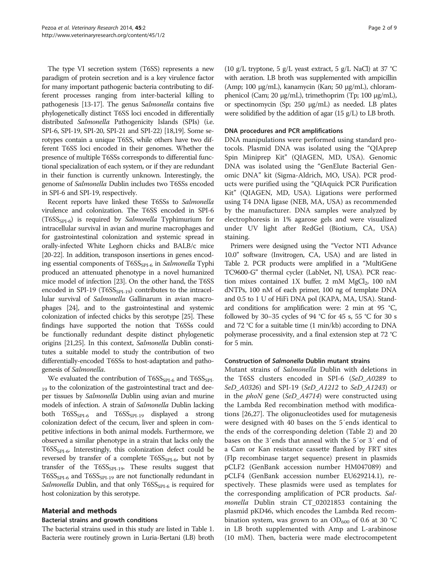The type VI secretion system (T6SS) represents a new paradigm of protein secretion and is a key virulence factor for many important pathogenic bacteria contributing to different processes ranging from inter-bacterial killing to pathogenesis [[13](#page-8-0)-[17](#page-8-0)]. The genus Salmonella contains five phylogenetically distinct T6SS loci encoded in differentially distributed Salmonella Pathogenicity Islands (SPIs) (i.e. SPI-6, SPI-19, SPI-20, SPI-21 and SPI-22) [[18,19\]](#page-8-0). Some serotypes contain a unique T6SS, while others have two different T6SS loci encoded in their genomes. Whether the presence of multiple T6SSs corresponds to differential functional specialization of each system, or if they are redundant in their function is currently unknown. Interestingly, the genome of Salmonella Dublin includes two T6SSs encoded in SPI-6 and SPI-19, respectively.

Recent reports have linked these T6SSs to Salmonella virulence and colonization. The T6SS encoded in SPI-6  $(T6SS_{SPI-6})$  is required by Salmonella Typhimurium for intracellular survival in avian and murine macrophages and for gastrointestinal colonization and systemic spread in orally-infected White Leghorn chicks and BALB/c mice [[20](#page-8-0)-[22\]](#page-8-0). In addition, transposon insertions in genes encoding essential components of T6SS<sub>SPI-6</sub> in Salmonella Typhi produced an attenuated phenotype in a novel humanized mice model of infection [\[23\]](#page-8-0). On the other hand, the T6SS encoded in SPI-19 (T6SS<sub>SPI-19</sub>) contributes to the intracellular survival of Salmonella Gallinarum in avian macrophages [\[24\]](#page-8-0), and to the gastrointestinal and systemic colonization of infected chicks by this serotype [\[25\]](#page-8-0). These findings have supported the notion that T6SSs could be functionally redundant despite distinct phylogenetic origins [\[21,25\]](#page-8-0). In this context, Salmonella Dublin constitutes a suitable model to study the contribution of two differentially-encoded T6SSs to host-adaptation and pathogenesis of Salmonella.

We evaluated the contribution of  $T6SS_{SPI-6}$  and  $T6SS_{SPI-6}$ <sub>19</sub> to the colonization of the gastrointestinal tract and deeper tissues by Salmonella Dublin using avian and murine models of infection. A strain of Salmonella Dublin lacking both  $T6SS_{SPI-6}$  and  $T6SS_{SPI-19}$  displayed a strong colonization defect of the cecum, liver and spleen in competitive infections in both animal models. Furthermore, we observed a similar phenotype in a strain that lacks only the  $T6SS_{\text{SPI-6}}$ . Interestingly, this colonization defect could be reversed by transfer of a complete  $T6SS_{\text{SPI-6}}$ , but not by transfer of the  $T6SS_{\text{SPI-19}}$ . These results suggest that  $T6SS_{\text{SPI-6}}$  and  $T6SS_{\text{SPI-19}}$  are not functionally redundant in Salmonella Dublin, and that only  $T6SS_{SPI-6}$  is required for host colonization by this serotype.

## Material and methods

## Bacterial strains and growth conditions

The bacterial strains used in this study are listed in Table [1](#page-2-0). Bacteria were routinely grown in Luria-Bertani (LB) broth (10 g/L tryptone, 5 g/L yeast extract, 5 g/L NaCl) at 37 °C with aeration. LB broth was supplemented with ampicillin (Amp; 100 μg/mL), kanamycin (Kan; 50 μg/mL), chloramphenicol (Cam; 20 μg/mL), trimethoprim (Tp; 100 μg/mL), or spectinomycin (Sp; 250 μg/mL) as needed. LB plates were solidified by the addition of agar (15 g/L) to LB broth.

## DNA procedures and PCR amplifications

DNA manipulations were performed using standard protocols. Plasmid DNA was isolated using the "QIAprep Spin Miniprep Kit" (QIAGEN, MD, USA). Genomic DNA was isolated using the "GenElute Bacterial Genomic DNA" kit (Sigma-Aldrich, MO, USA). PCR products were purified using the "QIAquick PCR Purification Kit" (QIAGEN, MD, USA). Ligations were performed using T4 DNA ligase (NEB, MA, USA) as recommended by the manufacturer. DNA samples were analyzed by electrophoresis in 1% agarose gels and were visualized under UV light after RedGel (Biotium, CA, USA) staining.

Primers were designed using the "Vector NTI Advance 10.0" software (Invitrogen, CA, USA) and are listed in Table [2.](#page-3-0) PCR products were amplified in a "MultiGene TC9600-G" thermal cycler (LabNet, NJ, USA). PCR reaction mixes contained 1X buffer, 2 mM  $MgCl<sub>2</sub>$ , 100 nM dNTPs, 100 nM of each primer, 100 ng of template DNA and 0.5 to 1 U of HiFi DNA pol (KAPA, MA, USA). Standard conditions for amplification were: 2 min at 95 °C, followed by 30–35 cycles of 94 °C for 45 s, 55 °C for 30 s and 72 °C for a suitable time (1 min/kb) according to DNA polymerase processivity, and a final extension step at 72 °C for 5 min.

## Construction of Salmonella Dublin mutant strains

Mutant strains of Salmonella Dublin with deletions in the T6SS clusters encoded in SPI-6 (SeD\_A0289 to SeD\_A0326) and SPI-19 (SeD\_A1212 to SeD\_A1243) or in the phoN gene (SeD\_A4714) were constructed using the Lambda Red recombination method with modifications [\[26,27](#page-8-0)]. The oligonucleotides used for mutagenesis were designed with 40 bases on the 5′ends identical to the ends of the corresponding deletion (Table [2\)](#page-3-0) and 20 bases on the 3′ends that anneal with the 5′or 3′ end of a Cam or Kan resistance cassette flanked by FRT sites (Flp recombinase target sequence) present in plasmids pCLF2 (GenBank accession number HM047089) and pCLF4 (GenBank accession number EU629214.1), respectively. These plasmids were used as templates for the corresponding amplification of PCR products. Salmonella Dublin strain CT\_02021853 containing the plasmid pKD46, which encodes the Lambda Red recombination system, was grown to an  $OD_{600}$  of 0.6 at 30 °C in LB broth supplemented with Amp and L-arabinose (10 mM). Then, bacteria were made electrocompetent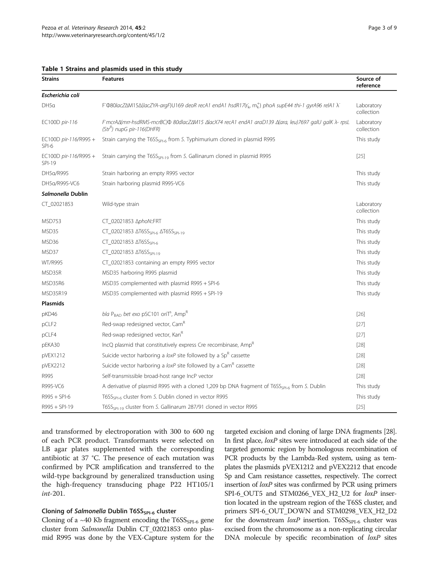<span id="page-2-0"></span>

|  |  |  | Table 1 Strains and plasmids used in this study |  |  |  |  |
|--|--|--|-------------------------------------------------|--|--|--|--|
|--|--|--|-------------------------------------------------|--|--|--|--|

| <b>Strains</b>                  | <b>Features</b>                                                                                                                      | Source of<br>reference |
|---------------------------------|--------------------------------------------------------------------------------------------------------------------------------------|------------------------|
| Escherichia coli                |                                                                                                                                      |                        |
| $DH5\alpha$                     | F $\Phi$ 80lacZ $\Delta$ M15 $\Delta$ (lacZYA-argF)U169 deoR recA1 endA1 hsdR17(rk, mk) phoA supE44 thi-1 gyrA96 relA1 $\lambda$     |                        |
| EC100D pir-116                  | FmcrA∆(mrr-hsdRMS-mcrBC) Φ 80dlacZΔM15 ΔΙαςΧ74 recA1 endA1 araD139 Δ(ara, leu)7697 galU galK λ- rpsL<br>$(Str^R)$ nupG pir-116(DHFR) |                        |
| EC100D pir-116/R995 +<br>SPI-6  | Strain carrying the $T6SS_{SP-6}$ from S. Typhimurium cloned in plasmid R995                                                         |                        |
| EC100D pir-116/R995 +<br>SPI-19 | Strain carrying the T6SS <sub>SPI-19</sub> from S. Gallinarum cloned in plasmid R995                                                 |                        |
| DH5a/R995                       | Strain harboring an empty R995 vector                                                                                                |                        |
| DH5a/R995-VC6                   | Strain harboring plasmid R995-VC6                                                                                                    |                        |
| Salmonella Dublin               |                                                                                                                                      |                        |
| CT_02021853                     | Wild-type strain                                                                                                                     |                        |
| <b>MSD753</b>                   | CT_02021853 ΔphoN::FRT                                                                                                               |                        |
| MSD35                           | CT_02021853 ΔT6SS <sub>SPI-6</sub> ΔT6SS <sub>SPI-19</sub>                                                                           | This study             |
| MSD36                           | $CT_02021853 \Delta T6SS_{SPL6}$                                                                                                     | This study             |
| MSD37                           | CT_02021853 AT6SS <sub>SPI-19</sub>                                                                                                  | This study             |
| <b>WT/R995</b>                  | CT_02021853 containing an empty R995 vector                                                                                          | This study             |
| MSD35R                          | MSD35 harboring R995 plasmid                                                                                                         |                        |
| MSD35R6                         | MSD35 complemented with plasmid R995 + SPI-6                                                                                         |                        |
| MSD35R19                        | MSD35 complemented with plasmid R995 + SPI-19                                                                                        |                        |
| Plasmids                        |                                                                                                                                      |                        |
| pKD46                           | bla P <sub>BAD</sub> bet exo pSC101 oriT <sup>5</sup> , Amp <sup>R</sup>                                                             | $[26]$                 |
| pCLF <sub>2</sub>               | Red-swap redesigned vector, Cam <sup>R</sup>                                                                                         |                        |
| pCLF4                           | Red-swap redesigned vector, Kan <sup>R</sup>                                                                                         | $[27]$                 |
| pEKA30                          | IncQ plasmid that constitutively express Cre recombinase, Amp <sup>R</sup>                                                           |                        |
| pVEX1212                        | Suicide vector harboring a loxP site followed by a SpR cassette                                                                      |                        |
| pVEX2212                        | Suicide vector harboring a loxP site followed by a Cam <sup>R</sup> cassette                                                         |                        |
| R995                            | Self-transmissible broad-host range IncP vector                                                                                      | [28]                   |
| R995-VC6                        | A derivative of plasmid R995 with a cloned 1,209 bp DNA fragment of T6SS <sub>SPI-6</sub> from S. Dublin                             |                        |
| R995 + SPI-6                    | T6SS <sub>SPI-6</sub> cluster from S. Dublin cloned in vector R995<br>This study                                                     |                        |
| R995 + SPI-19                   | T6SS <sub>SPI-19</sub> cluster from S. Gallinarum 287/91 cloned in vector R995                                                       | $[25]$                 |

and transformed by electroporation with 300 to 600 ng of each PCR product. Transformants were selected on LB agar plates supplemented with the corresponding antibiotic at 37 °C. The presence of each mutation was confirmed by PCR amplification and transferred to the wild-type background by generalized transduction using the high-frequency transducing phage P22 HT105/1 int-201.

## Cloning of Salmonella Dublin T6SS<sub>SPI-6</sub> cluster

Cloning of a  $~40$  Kb fragment encoding the T6SS<sub>SPI-6</sub> gene cluster from Salmonella Dublin CT\_02021853 onto plasmid R995 was done by the VEX-Capture system for the targeted excision and cloning of large DNA fragments [\[28](#page-8-0)]. In first place, loxP sites were introduced at each side of the targeted genomic region by homologous recombination of PCR products by the Lambda-Red system, using as templates the plasmids pVEX1212 and pVEX2212 that encode Sp and Cam resistance cassettes, respectively. The correct insertion of loxP sites was confirmed by PCR using primers SPI-6\_OUT5 and STM0266\_VEX\_H2\_U2 for loxP insertion located in the upstream region of the T6SS cluster, and primers SPI-6\_OUT\_DOWN and STM0298\_VEX\_H2\_D2 for the downstream  $loxP$  insertion. T6SS<sub>SPI-6</sub> cluster was excised from the chromosome as a non-replicating circular DNA molecule by specific recombination of loxP sites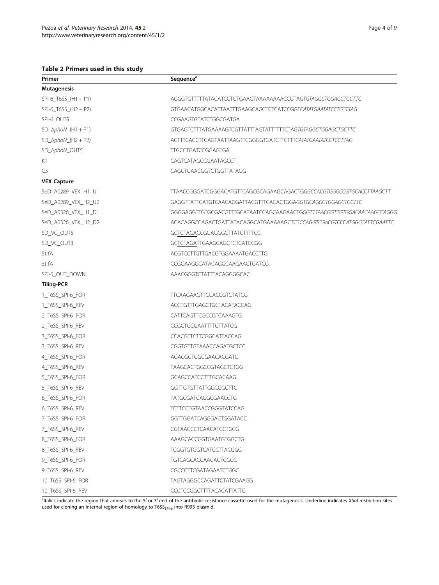## <span id="page-3-0"></span>Table 2 Primers used in this study

| Primer                               | Sequence <sup>a</sup>                                                  |
|--------------------------------------|------------------------------------------------------------------------|
| Mutagenesis                          |                                                                        |
| SPI-6_T6SS_(H1+P1)                   | AGGGTGTTTTTATACATCCTGTGAAGTAAAAAAACCGTAGTGTAGGCTGGAGCTGCTTC            |
| $SPI-6_T6SS_{H2} + P2)$              | GTGAACATGGCACATTAATTTGAAGCAGCTCTCATCCGGTCATATGAATATCCTCCTTAG           |
| SPI-6_OUT5                           | CCGAAGTGTATCTGGCGATGA                                                  |
| $SD_\Delta phoN_{(H1 + P1)}$         | GTGAGTCTTTATGAAAAGTCGTTATTTAGTATTTTTCTAGTGTAGGCTGGAGCTGCTTC            |
| $SD_\Delta phoN_{\text{H}}(H2 + P2)$ | ACTTTCACCTTCAGTAATTAAGTTCGGGGTGATCTTCTTTCATATGAATATCCTCCTTAG           |
| SD_AphoN_OUT5                        | <b>TTGCCTGATCCGGAGTGA</b>                                              |
| K1                                   | CAGTCATAGCCGAATAGCCT                                                   |
| C <sub>3</sub>                       | CAGCTGAACGGTCTGGTTATAGG                                                |
| <b>VEX Capture</b>                   |                                                                        |
| SeD_A0289_VEX_H1_U1                  | TTAACCGGGATCGGGACATGTTCAGCGCAGAAGCAGACTGGGCCACGTGGGCCGTGCACCTTAAGCTT   |
| SeD_A0289_VEX_H2_U2                  | GAGGTTATTCATGTCAACAGGATTACGTTTCACACTGGAGGTGCAGGCTGGAGCTGCTTC           |
| SeD_A0326_VEX_H1_D1                  | GGGGAGGTTGTGCGACGTTTGCATAATCCAGCAAGAACTGGGTTTAACGGTTGTGGACAACAAGCCAGGG |
| SeD_A0326_VEX_H2_D2                  | ACACAGGCCAGACTGATTATACAGGCATGAAAAAGCTCTCCAGGTCGACGTCCCATGGCCATTCGAATTC |
| SD_VC_OUT5                           | GCTCTAGACCGGAGGGGTTATCTTTTCC                                           |
| SD_VC_OUT3                           | GCTCTAGATTGAAGCAGCTCTCATCCGG                                           |
| 5trfA                                | ACGTCCTTGTTGACGTGGAAAATGACCTTG                                         |
| 3trfA                                | CCGGAAGGCATACAGGCAAGAACTGATCG                                          |
| SPI-6_OUT_DOWN                       | AAACGGGTCTATTTACAGGGGCAC                                               |
| <b>Tiling-PCR</b>                    |                                                                        |
| 1_T6SS_SPI-6_FOR                     | <b>TTCAAGAAGTTCCACCGTCTATCG</b>                                        |
| 1_T6SS_SPI-6_REV                     | ACCTGTTTGAGCTGCTACATACCAG                                              |
| 2_T6SS_SPI-6_FOR                     | CATTCAGTTCGCCGTCAAAGTG                                                 |
| 2_T6SS_SPI-6_REV                     | CCGCTGCGAATTTTGTTATCG                                                  |
| 3_T6SS_SPI-6_FOR                     | CCACGTTCTTCGGCATTACCAG                                                 |
| 3_T6SS_SPI-6_REV                     | CGGTGTTGTAAACCAGATGCTCC                                                |
| 4_T6SS_SPI-6_FOR                     | AGACGCTGGCGAACACGATC                                                   |
| 4_T6SS_SPI-6_REV                     | <b>TAAGCACTGGCCGTAGCTCTGG</b>                                          |
| 5_T6SS_SPI-6_FOR                     | GCAGCCATCCTTTGCACAAG                                                   |
| 5_T6SS_SPI-6_REV                     | GGTTGTGTTATTGGCGGCTTC                                                  |
| 6_T6SS_SPI-6_FOR                     | TATGCGATCAGGCGAACCTG                                                   |
| 6_T6SS_SPI-6_REV                     | TCTTCCTGTAACCGGGTATCCAG                                                |
| 7_T6SS_SPI-6_FOR                     | GGTTGGATCAGGGACTGGATACC                                                |
| 7_T6SS_SPI-6_REV                     | CGTAACCCTCAACATCCTGCG                                                  |
| 8_T6SS_SPI-6_FOR                     | AAAGCACCGGTGAATGTGGCTG                                                 |
| 8_T6SS_SPI-6_REV                     | <b>TCGGTGTGGTCATCCTTACGGG</b>                                          |
| 9_T6SS_SPI-6_FOR                     | TGTCAGCACCAACAGTCGCC                                                   |
| 9_T6SS_SPI-6_REV                     | CGCCCTTCGATAGAATCTGGC                                                  |
| 10_T6SS_SPI-6_FOR                    | TAGTAGGGCCAGATTCTATCGAAGG                                              |
| 10_T6SS_SPI-6_REV                    | CCCTCCGGCTTTTACACATTATTC                                               |

<sup>a</sup>ltalics indicate the region that anneals to the 5' or 3' end of the antibiotic resistance cassette used for the mutagenesis. Underline indicates XbaI restriction sites used for cloning an internal region of homology to T6SS<sub>SPI-6</sub> into R995 plasmid.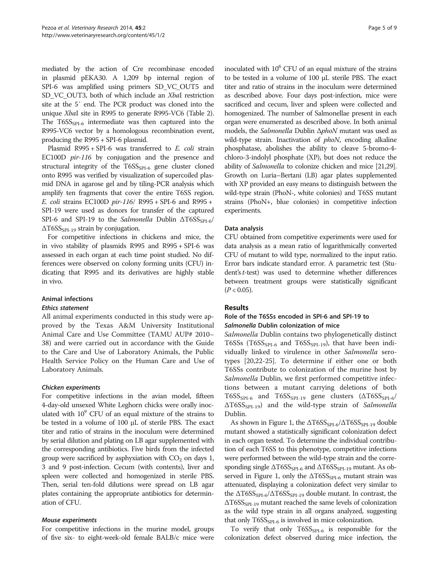mediated by the action of Cre recombinase encoded in plasmid pEKA30. A 1,209 bp internal region of SPI-6 was amplified using primers SD\_VC\_OUT5 and SD\_VC\_OUT3, both of which include an XbaI restriction site at the 5′ end. The PCR product was cloned into the unique XbaI site in R995 to generate R995-VC6 (Table [2](#page-3-0)). The  $T6SS_{SPI-6}$  intermediate was then captured into the R995-VC6 vector by a homologous recombination event, producing the R995 + SPI-6 plasmid.

Plasmid R995 + SPI-6 was transferred to E. coli strain EC100D *pir-116* by conjugation and the presence and structural integrity of the  $T6SS_{SPL-6}$  gene cluster cloned onto R995 was verified by visualization of supercoiled plasmid DNA in agarose gel and by tiling-PCR analysis which amplify ten fragments that cover the entire T6SS region. E. coli strains EC100D pir-116/ R995 + SPI-6 and R995 + SPI-19 were used as donors for transfer of the captured SPI-6 and SPI-19 to the Salmonella Dublin  $\Delta T6SS_{SPL-6}$  $\Delta T 6SS_{\text{SPI-19}}$  strain by conjugation.

For competitive infections in chickens and mice, the in vivo stability of plasmids R995 and R995 + SPI-6 was assessed in each organ at each time point studied. No differences were observed on colony forming units (CFU) indicating that R995 and its derivatives are highly stable in vivo.

## Animal infections

#### Ethics statement

All animal experiments conducted in this study were approved by the Texas A&M University Institutional Animal Care and Use Committee (TAMU AUP# 2010– 38) and were carried out in accordance with the Guide to the Care and Use of Laboratory Animals, the Public Health Service Policy on the Human Care and Use of Laboratory Animals.

#### Chicken experiments

For competitive infections in the avian model, fifteen 4-day-old unsexed White Leghorn chicks were orally inoculated with  $10<sup>9</sup>$  CFU of an equal mixture of the strains to be tested in a volume of 100 μL of sterile PBS. The exact titer and ratio of strains in the inoculum were determined by serial dilution and plating on LB agar supplemented with the corresponding antibiotics. Five birds from the infected group were sacrificed by asphyxiation with  $CO<sub>2</sub>$  on days 1, 3 and 9 post-infection. Cecum (with contents), liver and spleen were collected and homogenized in sterile PBS. Then, serial ten-fold dilutions were spread on LB agar plates containing the appropriate antibiotics for determination of CFU.

#### Mouse experiments

For competitive infections in the murine model, groups of five six- to eight-week-old female BALB/c mice were inoculated with  $10^6$  CFU of an equal mixture of the strains to be tested in a volume of 100 μL sterile PBS. The exact titer and ratio of strains in the inoculum were determined as described above. Four days post-infection, mice were sacrificed and cecum, liver and spleen were collected and homogenized. The number of Salmonellae present in each organ were enumerated as described above. In both animal models, the Salmonella Dublin ΔphoN mutant was used as wild-type strain. Inactivation of *phoN*, encoding alkaline phosphatase, abolishes the ability to cleave 5-bromo-4 chloro-3-indolyl phosphate (XP), but does not reduce the ability of Salmonella to colonize chicken and mice [[21,29](#page-8-0)]. Growth on Luria–Bertani (LB) agar plates supplemented with XP provided an easy means to distinguish between the wild-type strain (PhoN-, white colonies) and T6SS mutant strains (PhoN+, blue colonies) in competitive infection experiments.

#### Data analysis

CFU obtained from competitive experiments were used for data analysis as a mean ratio of logarithmically converted CFU of mutant to wild type, normalized to the input ratio. Error bars indicate standard error. A parametric test (Student's t-test) was used to determine whether differences between treatment groups were statistically significant  $(P < 0.05)$ .

## Results

## Role of the T6SSs encoded in SPI-6 and SPI-19 to Salmonella Dublin colonization of mice

Salmonella Dublin contains two phylogenetically distinct T6SSs (T6SS<sub>SPI-6</sub> and T6SS<sub>SPI-19</sub>), that have been individually linked to virulence in other Salmonella serotypes [\[20,22](#page-8-0)-[25\]](#page-8-0). To determine if either one or both T6SSs contribute to colonization of the murine host by Salmonella Dublin, we first performed competitive infections between a mutant carrying deletions of both  $T6SS_{\text{SPI-6}}$  and  $T6SS_{\text{SPI-19}}$  gene clusters ( $\Delta T6SS_{\text{SPI-6}}/$  $\Delta T 6SS<sub>SPI-19</sub>$  and the wild-type strain of Salmonella Dublin.

As shown in Figure [1,](#page-5-0) the  $\Delta T 6SS_{\rm SPI-6}/\Delta T 6SS_{\rm SPI-19}$  double mutant showed a statistically significant colonization defect in each organ tested. To determine the individual contribution of each T6SS to this phenotype, competitive infections were performed between the wild-type strain and the corresponding single  $\Delta$ T6SS<sub>SPI-6</sub> and  $\Delta$ T6SS<sub>SPI-19</sub> mutant. As ob-served in Figure [1,](#page-5-0) only the  $\Delta T6SS_{\rm SPI-6}$  mutant strain was attenuated, displaying a colonization defect very similar to the  $\Delta T 6SS_{\text{SPI-6}}/\Delta T 6SS_{\text{SPI-19}}$  double mutant. In contrast, the  $\Delta T6SS_{\rm SPI-19}$  mutant reached the same levels of colonization as the wild type strain in all organs analyzed, suggesting that only  $T6SS_{\text{SPI-6}}$  is involved in mice colonization.

To verify that only  $T6SS_{SPI-6}$  is responsible for the colonization defect observed during mice infection, the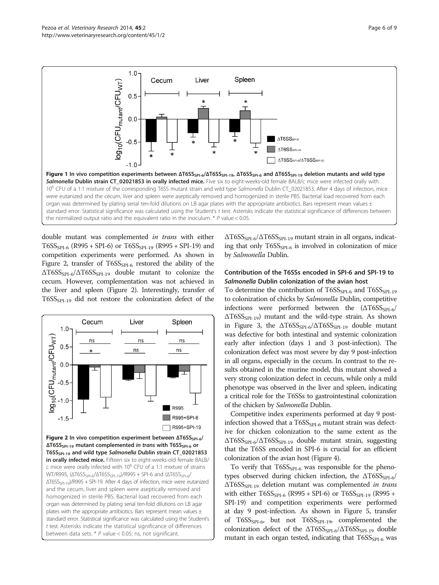<span id="page-5-0"></span>

double mutant was complemented in trans with either  $T6SS_{SPI-6}$  (R995 + SPI-6) or  $T6SS_{SPI-19}$  (R995 + SPI-19) and competition experiments were performed. As shown in Figure 2, transfer of  $T6SS_{SPI-6}$  restored the ability of the  $\Delta T 6SS_{\rm SPI-6}/\Delta T 6SS_{\rm SPI-19}$  double mutant to colonize the cecum. However, complementation was not achieved in the liver and spleen (Figure 2). Interestingly, transfer of  $T6SS_{SPI-19}$  did not restore the colonization defect of the



 $\Delta T 6SS_{SPL-6}/\Delta T 6SS_{SPL-19}$  mutant strain in all organs, indicating that only  $T6SS_{SPI-6}$  is involved in colonization of mice by Salmonella Dublin.

## Contribution of the T6SSs encoded in SPI-6 and SPI-19 to Salmonella Dublin colonization of the avian host

To determine the contribution of  $T6SS_{\text{SPI-6}}$  and  $T6SS_{\text{SPI-19}}$ to colonization of chicks by Salmonella Dublin, competitive infections were performed between the  $(\Delta T 6S S_{\rm SPI-6}/T)$ ΔT6SSSPI-19) mutant and the wild-type strain. As shown in Figure [3](#page-6-0), the  $\Delta T 6S S_{\text{SPL-6}}/\Delta T 6S S_{\text{SPL-19}}$  double mutant was defective for both intestinal and systemic colonization early after infection (days 1 and 3 post-infection). The colonization defect was most severe by day 9 post-infection in all organs, especially in the cecum. In contrast to the results obtained in the murine model, this mutant showed a very strong colonization defect in cecum, while only a mild phenotype was observed in the liver and spleen, indicating a critical role for the T6SSs to gastrointestinal colonization of the chicken by Salmonella Dublin.

Competitive index experiments performed at day 9 postinfection showed that a  $T6SS_{SPI-6}$  mutant strain was defective for chicken colonization to the same extent as the  $\Delta T6SS_{SPI-6}/\Delta T6SS_{SPI-19}$  double mutant strain, suggesting that the T6SS encoded in SPI-6 is crucial for an efficient colonization of the avian host (Figure [4\)](#page-6-0).

To verify that  $T6SS_{SPI-6}$  was responsible for the phenotypes observed during chicken infection, the  $\Delta T6SS_{\rm SPI-6}/$  $\Delta T 6SS_{\rm SPI-19}$  deletion mutant was complemented in trans with either  $T6SS_{\text{SPI-6}}$  (R995 + SPI-6) or  $T6SS_{\text{SPI-19}}$  (R995 + SPI-19) and competition experiments were performed at day 9 post-infection. As shown in Figure [5](#page-7-0), transfer of  $T6SS_{\text{SPI-6}}$ , but not  $T6SS_{\text{SPI-19}}$ , complemented the colonization defect of the  $\Delta T6SS_{\rm SPI-6}/\Delta T6SS_{\rm SPI-19}$  double mutant in each organ tested, indicating that  $T6SS_{\text{SPI-6}}$  was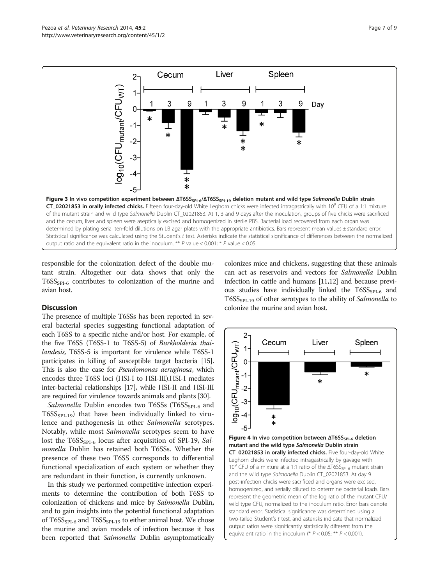<span id="page-6-0"></span>

responsible for the colonization defect of the double mutant strain. Altogether our data shows that only the  $T6SS_{\text{SPI-6}}$  contributes to colonization of the murine and avian host.

#### **Discussion**

The presence of multiple T6SSs has been reported in several bacterial species suggesting functional adaptation of each T6SS to a specific niche and/or host. For example, of the five T6SS (T6SS-1 to T6SS-5) of Burkholderia thailandesis, T6SS-5 is important for virulence while T6SS-1 participates in killing of susceptible target bacteria [\[15](#page-8-0)]. This is also the case for Pseudomonas aeruginosa, which encodes three T6SS loci (HSI-I to HSI-III).HSI-I mediates inter-bacterial relationships [[17](#page-8-0)], while HSI-II and HSI-III are required for virulence towards animals and plants [\[30\]](#page-8-0).

Salmonella Dublin encodes two T6SSs (T6SS<sub>SPI-6</sub> and  $T6SS_{\text{SPI-19}}$ ) that have been individually linked to virulence and pathogenesis in other Salmonella serotypes. Notably, while most Salmonella serotypes seem to have lost the  $T6SS_{SPI-6}$  locus after acquisition of SPI-19, Salmonella Dublin has retained both T6SSs. Whether the presence of these two T6SS corresponds to differential functional specialization of each system or whether they are redundant in their function, is currently unknown.

In this study we performed competitive infection experiments to determine the contribution of both T6SS to colonization of chickens and mice by Salmonella Dublin, and to gain insights into the potential functional adaptation of  $T6SS_{SPI-6}$  and  $T6SS_{SPI-19}$  to either animal host. We chose the murine and avian models of infection because it has been reported that Salmonella Dublin asymptomatically

colonizes mice and chickens, suggesting that these animals can act as reservoirs and vectors for Salmonella Dublin infection in cattle and humans [\[11,12](#page-8-0)] and because previous studies have individually linked the T6SS<sub>SPI-6</sub> and T6SS<sub>SPI-19</sub> of other serotypes to the ability of Salmonella to colonize the murine and avian host.

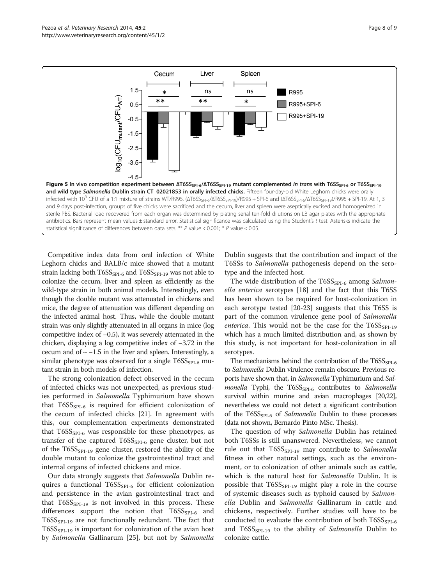<span id="page-7-0"></span>

Competitive index data from oral infection of White Leghorn chicks and BALB/c mice showed that a mutant strain lacking both  $T6SS_{SPI-6}$  and  $T6SS_{SPI-19}$  was not able to colonize the cecum, liver and spleen as efficiently as the wild-type strain in both animal models. Interestingly, even though the double mutant was attenuated in chickens and mice, the degree of attenuation was different depending on the infected animal host. Thus, while the double mutant strain was only slightly attenuated in all organs in mice (log competitive index of −0.5), it was severely attenuated in the chicken, displaying a log competitive index of −3.72 in the cecum and of  $\sim$  -1.5 in the liver and spleen. Interestingly, a similar phenotype was observed for a single  $T6SS_{\text{SPI-6}}$  mutant strain in both models of infection.

The strong colonization defect observed in the cecum of infected chicks was not unexpected, as previous studies performed in Salmonella Typhimurium have shown that  $T6SS_{\text{SPI-6}}$  is required for efficient colonization of the cecum of infected chicks [[21\]](#page-8-0). In agreement with this, our complementation experiments demonstrated that  $T6SS_{\text{SPI-6}}$  was responsible for these phenotypes, as transfer of the captured  $T6SS_{\text{SPI-6}}$  gene cluster, but not of the  $T6SS_{\text{SPI-19}}$  gene cluster, restored the ability of the double mutant to colonize the gastrointestinal tract and internal organs of infected chickens and mice.

Our data strongly suggests that Salmonella Dublin requires a functional  $T6SS_{SPI-6}$  for efficient colonization and persistence in the avian gastrointestinal tract and that  $T6SS_{SPI-19}$  is not involved in this process. These differences support the notion that  $T6SS_{SPI-6}$  and  $T6SS_{SPI-19}$  are not functionally redundant. The fact that  $T6SS_{\text{SPI-19}}$  is important for colonization of the avian host by Salmonella Gallinarum [[25\]](#page-8-0), but not by Salmonella

Dublin suggests that the contribution and impact of the T6SSs to Salmonella pathogenesis depend on the serotype and the infected host.

The wide distribution of the T6SS<sub>SPI-6</sub> among Salmonella enterica serotypes [[18\]](#page-8-0) and the fact that this T6SS has been shown to be required for host-colonization in each serotype tested [[20-23](#page-8-0)] suggests that this T6SS is part of the common virulence gene pool of Salmonella enterica. This would not be the case for the  $T6SS_{\text{SPI-19}}$ which has a much limited distribution and, as shown by this study, is not important for host-colonization in all serotypes.

The mechanisms behind the contribution of the  $T6SS_{SPI-6}$ to Salmonella Dublin virulence remain obscure. Previous reports have shown that, in Salmonella Typhimurium and Salmonella Typhi, the T6SS<sub>SPI-6</sub> contributes to Salmonella survival within murine and avian macrophages [\[20,22\]](#page-8-0), nevertheless we could not detect a significant contribution of the  $T6SS_{\text{SPI-6}}$  of *Salmonella* Dublin to these processes (data not shown, Bernardo Pinto MSc. Thesis).

The question of why Salmonella Dublin has retained both T6SSs is still unanswered. Nevertheless, we cannot rule out that  $T6SS_{SPI-19}$  may contribute to *Salmonella* fitness in other natural settings, such as the environment, or to colonization of other animals such as cattle, which is the natural host for Salmonella Dublin. It is possible that  $T6SS_{SPI-19}$  might play a role in the course of systemic diseases such as typhoid caused by Salmonella Dublin and Salmonella Gallinarum in cattle and chickens, respectively. Further studies will have to be conducted to evaluate the contribution of both  $T6SS_{SPI-6}$ and  $T6SS_{\text{SPI-19}}$  to the ability of Salmonella Dublin to colonize cattle.